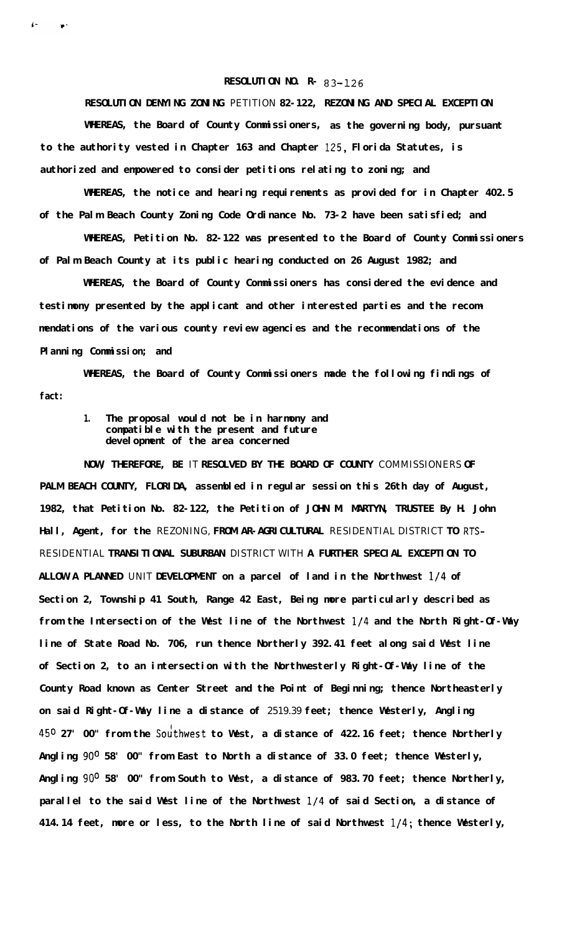## **RESOLUTION NO. R- 83-126**

**RESOLUTION DENYING ZONING** PETITION **82-122, REZONING AND SPECIAL EXCEPTION**

**WHEREAS, the Board of County Commissioners, as the governing body, pursuant to the authority vested in Chapter 163 and Chapter 125, Florida Statutes, is authorized and empowered to consider petitions relating to zoning; and**

**WHEREAS, the notice and hearing requirements as provided for in Chapter 402.5 of the Palm Beach County Zoning Code Ordinance No. 73-2 have been satisfied; and**

**WHEREAS, Petition No. 82-122 was presented to the Board of County Commissioners of Palm Beach County at its public hearing conducted on 26 August 1982; and**

**WHEREAS, the Board of County Commissioners has considered the evidence and testimony presented by the applicant and other interested parties and the recommendations of the various county review agencies and the recommendations of the Planning Commission; and**

**WHEREAS, the Board of County Commissioners made the following findings of fact:**

## **1. The proposal would not be in harmony and compatible with the present and future development of the area concerned**

**NOW, THEREFORE, BE** IT **RESOLVED BY THE BOARD OF COUNTY** COMMISSIONERS **OF PALM BEACH COUNTY, FLORIDA, assembled in regular session this 26th day of August, 1982, that Petition No. 82-122, the Petition of JOHN M. MARTYN, TRUSTEE By H. John Hall, Agent, for the** REZONING, **FROM AR-AGRICULTURAL** RESIDENTIAL DISTRICT **TO RTS-**RESIDENTIAL **TRANSITIONAL SUBURBAN** DISTRICT WITH **A FURTHER SPECIAL EXCEPTION TO ALLOW A PLANNED** UNIT **DEVELOPMENT on a parcel of land in the Northwest l/4 of Section 2, Township 41 South, Range 42 East, Being more particularly described as from the Intersection of the West line of the Northwest l/4 and the North Right-Of-Way line of State Road No. 706, run thence Northerly 392.41 feet along said West line of Section 2, to an intersection with the Northwesterly Right-Of-Way line of the County Road known as Center Street and the Point of Beginning; thence Northeasterly on said Right-Of-Way line a distance of** 2519.39 **feet; thence Westerly, Angling 450 27' 00" from the Soithwest to West, a distance of 422.16 feet; thence Northerly Angling 90° 58' 00" from East to North a distance of 33.0 feet; thence Westerly, Angling 90° 58' 00" from South to West, a distance of 983.70 feet; thence Northerly, parallel to the said West line of the Northwest l/4 of said Section, a distance of 414.14 feet, more or less, to the North line of said Northwest l/4; thence Westerly,**